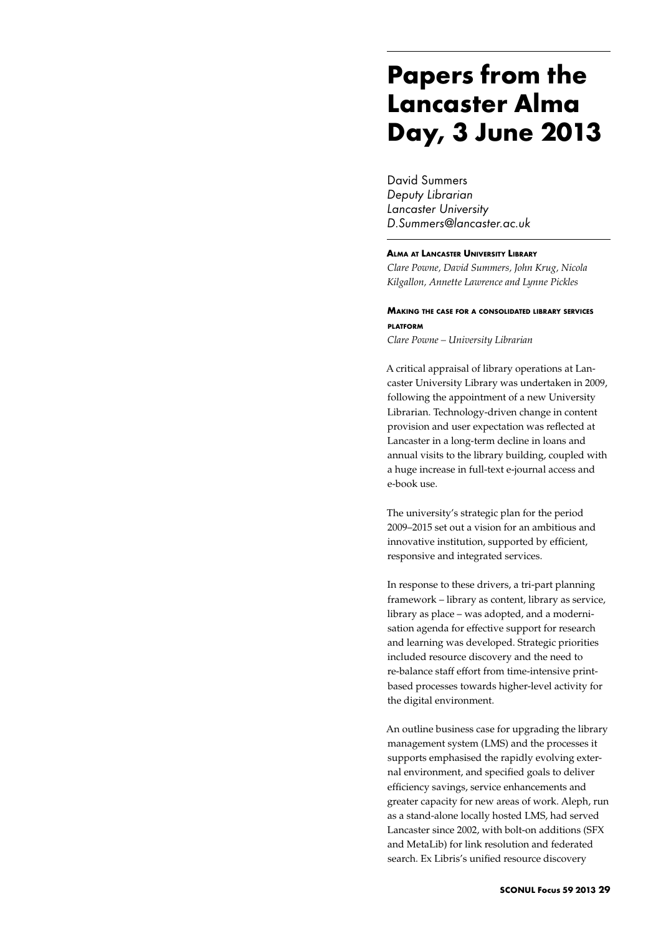# **Papers from the Lancaster Alma Day, 3 June 2013**

David Summers *Deputy Librarian Lancaster University D.Summers@lancaster.ac.uk*

### **Alma at Lancaster University Library**

*Clare Powne, David Summers, John Krug, Nicola Kilgallon, Annette Lawrence and Lynne Pickles*

## **Making the case for <sup>a</sup> consolidated library services platform**

*Clare Powne – University Librarian*

A critical appraisal of library operations at Lancaster University Library was undertaken in 2009, following the appointment of a new University Librarian. Technology-driven change in content provision and user expectation was reflected at Lancaster in a long-term decline in loans and annual visits to the library building, coupled with a huge increase in full-text e-journal access and e-book use.

The university's strategic plan for the period 2009–2015 set out a vision for an ambitious and innovative institution, supported by efficient, responsive and integrated services.

In response to these drivers, a tri-part planning framework – library as content, library as service, library as place – was adopted, and a modernisation agenda for effective support for research and learning was developed. Strategic priorities included resource discovery and the need to re-balance staff effort from time-intensive printbased processes towards higher-level activity for the digital environment.

An outline business case for upgrading the library management system (LMS) and the processes it supports emphasised the rapidly evolving external environment, and specified goals to deliver efficiency savings, service enhancements and greater capacity for new areas of work. Aleph, run as a stand-alone locally hosted LMS, had served Lancaster since 2002, with bolt-on additions (SFX and MetaLib) for link resolution and federated search. Ex Libris's unified resource discovery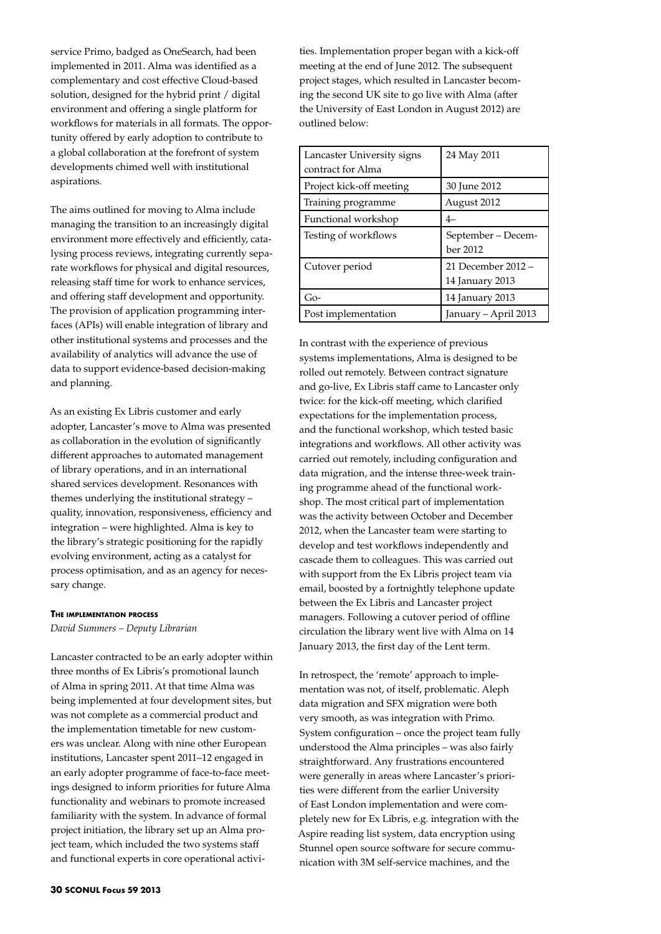service Primo, badged as OneSearch, had been implemented in 2011. Alma was identified as a complementary and cost effective Cloud-based solution, designed for the hybrid print / digital environment and offering a single platform for workflows for materials in all formats. The opportunity offered by early adoption to contribute to a global collaboration at the forefront of system developments chimed well with institutional aspirations.

The aims outlined for moving to Alma include managing the transition to an increasingly digital environment more effectively and efficiently, catalysing process reviews, integrating currently separate workflows for physical and digital resources, releasing staff time for work to enhance services, and offering staff development and opportunity. The provision of application programming interfaces (APIs) will enable integration of library and other institutional systems and processes and the availability of analytics will advance the use of data to support evidence-based decision-making and planning.

As an existing Ex Libris customer and early adopter, Lancaster's move to Alma was presented as collaboration in the evolution of significantly different approaches to automated management of library operations, and in an international shared services development. Resonances with themes underlying the institutional strategy – quality, innovation, responsiveness, efficiency and integration – were highlighted. Alma is key to the library's strategic positioning for the rapidly evolving environment, acting as a catalyst for process optimisation, and as an agency for necessary change.

#### **The implementation process**

*David Summers – Deputy Librarian*

Lancaster contracted to be an early adopter within three months of Ex Libris's promotional launch of Alma in spring 2011. At that time Alma was being implemented at four development sites, but was not complete as a commercial product and the implementation timetable for new customers was unclear. Along with nine other European institutions, Lancaster spent 2011–12 engaged in an early adopter programme of face-to-face meetings designed to inform priorities for future Alma functionality and webinars to promote increased familiarity with the system. In advance of formal project initiation, the library set up an Alma project team, which included the two systems staff and functional experts in core operational activities. Implementation proper began with a kick-off meeting at the end of June 2012. The subsequent project stages, which resulted in Lancaster becoming the second UK site to go live with Alma (after the University of East London in August 2012) are outlined below:

| Lancaster University signs<br>contract for Alma | 24 May 2011                           |
|-------------------------------------------------|---------------------------------------|
| Project kick-off meeting                        | 30 June 2012                          |
| Training programme                              | August 2012                           |
| Functional workshop                             | $4-$                                  |
| Testing of workflows                            | September – Decem-<br>ber 2012        |
| Cutover period                                  | 21 December 2012 -<br>14 January 2013 |
| Go-                                             | 14 January 2013                       |
| Post implementation                             | January – April 2013                  |

In contrast with the experience of previous systems implementations, Alma is designed to be rolled out remotely. Between contract signature and go-live, Ex Libris staff came to Lancaster only twice: for the kick-off meeting, which clarified expectations for the implementation process, and the functional workshop, which tested basic integrations and workflows. All other activity was carried out remotely, including configuration and data migration, and the intense three-week training programme ahead of the functional workshop. The most critical part of implementation was the activity between October and December 2012, when the Lancaster team were starting to develop and test workflows independently and cascade them to colleagues. This was carried out with support from the Ex Libris project team via email, boosted by a fortnightly telephone update between the Ex Libris and Lancaster project managers. Following a cutover period of offline circulation the library went live with Alma on 14 January 2013, the first day of the Lent term.

In retrospect, the 'remote' approach to implementation was not, of itself, problematic. Aleph data migration and SFX migration were both very smooth, as was integration with Primo. System configuration – once the project team fully understood the Alma principles – was also fairly straightforward. Any frustrations encountered were generally in areas where Lancaster's priorities were different from the earlier University of East London implementation and were completely new for Ex Libris, e.g. integration with the Aspire reading list system, data encryption using Stunnel open source software for secure communication with 3M self-service machines, and the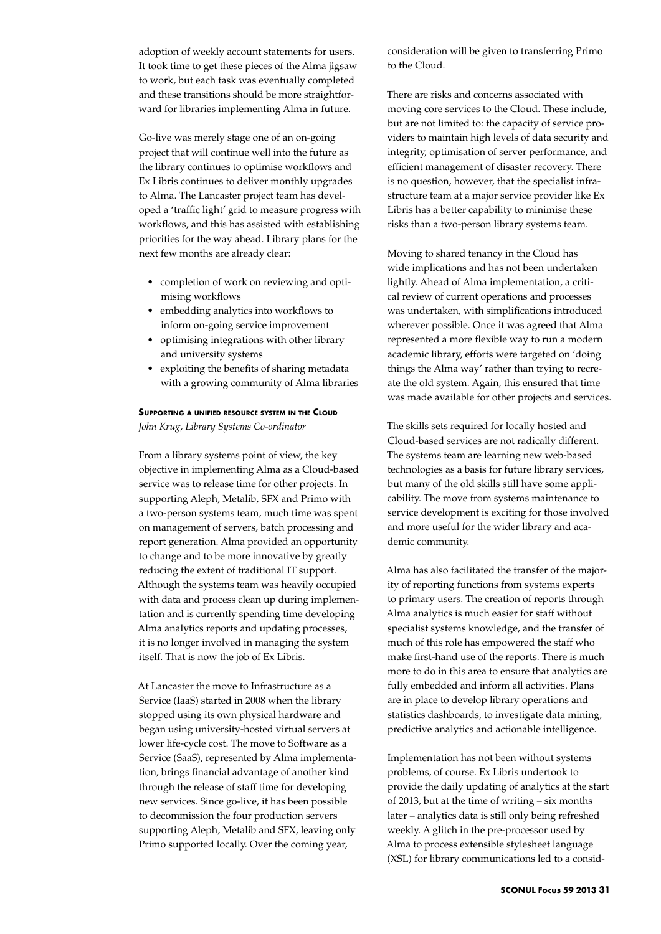adoption of weekly account statements for users. It took time to get these pieces of the Alma jigsaw to work, but each task was eventually completed and these transitions should be more straightforward for libraries implementing Alma in future.

Go-live was merely stage one of an on-going project that will continue well into the future as the library continues to optimise workflows and Ex Libris continues to deliver monthly upgrades to Alma. The Lancaster project team has developed a 'traffic light' grid to measure progress with workflows, and this has assisted with establishing priorities for the way ahead. Library plans for the next few months are already clear:

- • completion of work on reviewing and optimising workflows
- embedding analytics into workflows to inform on-going service improvement
- • optimising integrations with other library and university systems
- • exploiting the benefits of sharing metadata with a growing community of Alma libraries

## **Supporting <sup>a</sup> unified resource system in the Cloud**

*John Krug, Library Systems Co-ordinator*

From a library systems point of view, the key objective in implementing Alma as a Cloud-based service was to release time for other projects. In supporting Aleph, Metalib, SFX and Primo with a two-person systems team, much time was spent on management of servers, batch processing and report generation. Alma provided an opportunity to change and to be more innovative by greatly reducing the extent of traditional IT support. Although the systems team was heavily occupied with data and process clean up during implementation and is currently spending time developing Alma analytics reports and updating processes, it is no longer involved in managing the system itself. That is now the job of Ex Libris.

At Lancaster the move to Infrastructure as a Service (IaaS) started in 2008 when the library stopped using its own physical hardware and began using university-hosted virtual servers at lower life-cycle cost. The move to Software as a Service (SaaS), represented by Alma implementation, brings financial advantage of another kind through the release of staff time for developing new services. Since go-live, it has been possible to decommission the four production servers supporting Aleph, Metalib and SFX, leaving only Primo supported locally. Over the coming year,

consideration will be given to transferring Primo to the Cloud.

There are risks and concerns associated with moving core services to the Cloud. These include, but are not limited to: the capacity of service providers to maintain high levels of data security and integrity, optimisation of server performance, and efficient management of disaster recovery. There is no question, however, that the specialist infrastructure team at a major service provider like Ex Libris has a better capability to minimise these risks than a two-person library systems team.

Moving to shared tenancy in the Cloud has wide implications and has not been undertaken lightly. Ahead of Alma implementation, a critical review of current operations and processes was undertaken, with simplifications introduced wherever possible. Once it was agreed that Alma represented a more flexible way to run a modern academic library, efforts were targeted on 'doing things the Alma way' rather than trying to recreate the old system. Again, this ensured that time was made available for other projects and services.

The skills sets required for locally hosted and Cloud-based services are not radically different. The systems team are learning new web-based technologies as a basis for future library services, but many of the old skills still have some applicability. The move from systems maintenance to service development is exciting for those involved and more useful for the wider library and academic community.

Alma has also facilitated the transfer of the majority of reporting functions from systems experts to primary users. The creation of reports through Alma analytics is much easier for staff without specialist systems knowledge, and the transfer of much of this role has empowered the staff who make first-hand use of the reports. There is much more to do in this area to ensure that analytics are fully embedded and inform all activities. Plans are in place to develop library operations and statistics dashboards, to investigate data mining, predictive analytics and actionable intelligence.

Implementation has not been without systems problems, of course. Ex Libris undertook to provide the daily updating of analytics at the start of 2013, but at the time of writing – six months later – analytics data is still only being refreshed weekly. A glitch in the pre-processor used by Alma to process extensible stylesheet language (XSL) for library communications led to a consid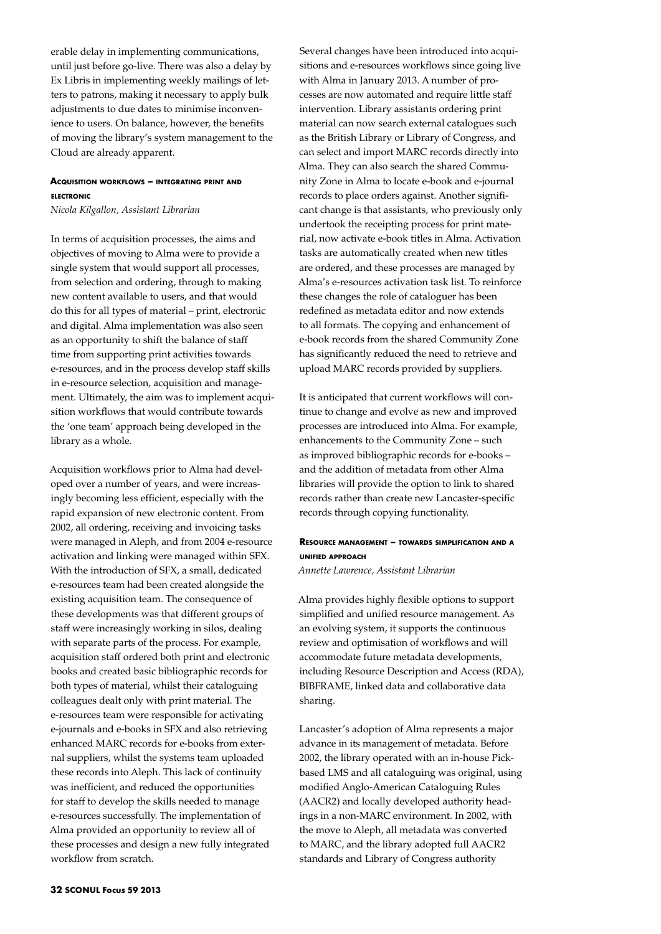erable delay in implementing communications, until just before go-live. There was also a delay by Ex Libris in implementing weekly mailings of letters to patrons, making it necessary to apply bulk adjustments to due dates to minimise inconvenience to users. On balance, however, the benefits of moving the library's system management to the Cloud are already apparent.

## **Acquisition workflows – integrating print and electronic**

*Nicola Kilgallon, Assistant Librarian*

In terms of acquisition processes, the aims and objectives of moving to Alma were to provide a single system that would support all processes, from selection and ordering, through to making new content available to users, and that would do this for all types of material – print, electronic and digital. Alma implementation was also seen as an opportunity to shift the balance of staff time from supporting print activities towards e-resources, and in the process develop staff skills in e-resource selection, acquisition and management. Ultimately, the aim was to implement acquisition workflows that would contribute towards the 'one team' approach being developed in the library as a whole.

Acquisition workflows prior to Alma had developed over a number of years, and were increasingly becoming less efficient, especially with the rapid expansion of new electronic content. From 2002, all ordering, receiving and invoicing tasks were managed in Aleph, and from 2004 e-resource activation and linking were managed within SFX. With the introduction of SFX, a small, dedicated e-resources team had been created alongside the existing acquisition team. The consequence of these developments was that different groups of staff were increasingly working in silos, dealing with separate parts of the process. For example, acquisition staff ordered both print and electronic books and created basic bibliographic records for both types of material, whilst their cataloguing colleagues dealt only with print material. The e-resources team were responsible for activating e-journals and e-books in SFX and also retrieving enhanced MARC records for e-books from external suppliers, whilst the systems team uploaded these records into Aleph. This lack of continuity was inefficient, and reduced the opportunities for staff to develop the skills needed to manage e-resources successfully. The implementation of Alma provided an opportunity to review all of these processes and design a new fully integrated workflow from scratch.

Several changes have been introduced into acquisitions and e-resources workflows since going live with Alma in January 2013. A number of processes are now automated and require little staff intervention. Library assistants ordering print material can now search external catalogues such as the British Library or Library of Congress, and can select and import MARC records directly into Alma. They can also search the shared Community Zone in Alma to locate e-book and e-journal records to place orders against. Another significant change is that assistants, who previously only undertook the receipting process for print material, now activate e-book titles in Alma. Activation tasks are automatically created when new titles are ordered, and these processes are managed by Alma's e-resources activation task list. To reinforce these changes the role of cataloguer has been redefined as metadata editor and now extends to all formats. The copying and enhancement of e-book records from the shared Community Zone has significantly reduced the need to retrieve and upload MARC records provided by suppliers.

It is anticipated that current workflows will continue to change and evolve as new and improved processes are introduced into Alma. For example, enhancements to the Community Zone – such as improved bibliographic records for e-books – and the addition of metadata from other Alma libraries will provide the option to link to shared records rather than create new Lancaster-specific records through copying functionality.

# **Resource management – towards simplification and <sup>a</sup> unified approach**

*Annette Lawrence, Assistant Librarian*

Alma provides highly flexible options to support simplified and unified resource management. As an evolving system, it supports the continuous review and optimisation of workflows and will accommodate future metadata developments, including Resource Description and Access (RDA), BIBFRAME, linked data and collaborative data sharing.

Lancaster's adoption of Alma represents a major advance in its management of metadata. Before 2002, the library operated with an in-house Pickbased LMS and all cataloguing was original, using modified Anglo-American Cataloguing Rules (AACR2) and locally developed authority headings in a non-MARC environment. In 2002, with the move to Aleph, all metadata was converted to MARC, and the library adopted full AACR2 standards and Library of Congress authority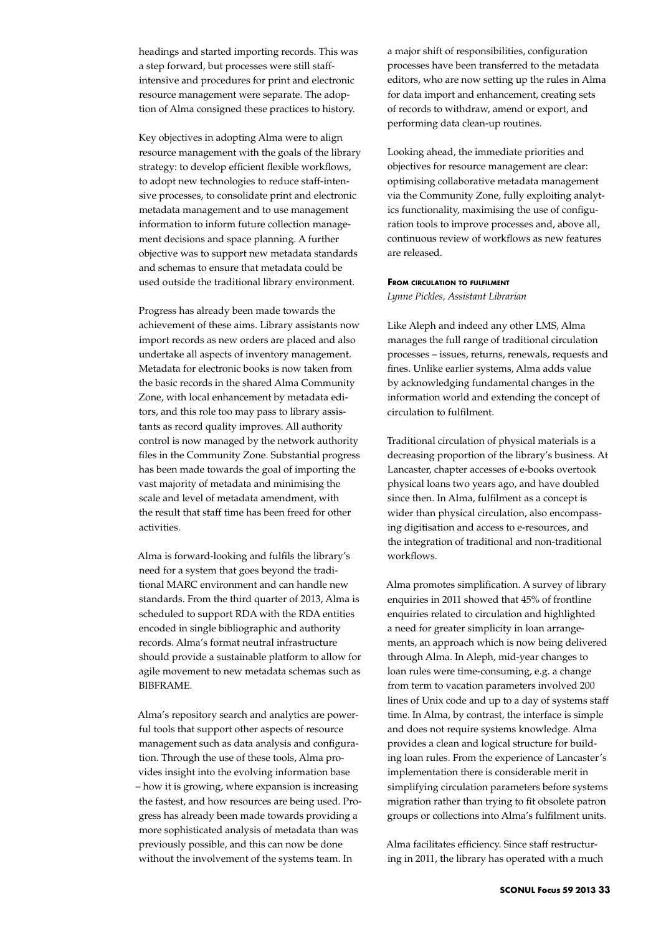headings and started importing records. This was a step forward, but processes were still staffintensive and procedures for print and electronic resource management were separate. The adoption of Alma consigned these practices to history.

Key objectives in adopting Alma were to align resource management with the goals of the library strategy: to develop efficient flexible workflows, to adopt new technologies to reduce staff-intensive processes, to consolidate print and electronic metadata management and to use management information to inform future collection management decisions and space planning. A further objective was to support new metadata standards and schemas to ensure that metadata could be used outside the traditional library environment.

Progress has already been made towards the achievement of these aims. Library assistants now import records as new orders are placed and also undertake all aspects of inventory management. Metadata for electronic books is now taken from the basic records in the shared Alma Community Zone, with local enhancement by metadata editors, and this role too may pass to library assistants as record quality improves. All authority control is now managed by the network authority files in the Community Zone. Substantial progress has been made towards the goal of importing the vast majority of metadata and minimising the scale and level of metadata amendment, with the result that staff time has been freed for other activities.

Alma is forward-looking and fulfils the library's need for a system that goes beyond the traditional MARC environment and can handle new standards. From the third quarter of 2013, Alma is scheduled to support RDA with the RDA entities encoded in single bibliographic and authority records. Alma's format neutral infrastructure should provide a sustainable platform to allow for agile movement to new metadata schemas such as BIBFRAME.

Alma's repository search and analytics are powerful tools that support other aspects of resource management such as data analysis and configuration. Through the use of these tools, Alma provides insight into the evolving information base – how it is growing, where expansion is increasing the fastest, and how resources are being used. Progress has already been made towards providing a more sophisticated analysis of metadata than was previously possible, and this can now be done without the involvement of the systems team. In

a major shift of responsibilities, configuration processes have been transferred to the metadata editors, who are now setting up the rules in Alma for data import and enhancement, creating sets of records to withdraw, amend or export, and performing data clean-up routines.

Looking ahead, the immediate priorities and objectives for resource management are clear: optimising collaborative metadata management via the Community Zone, fully exploiting analytics functionality, maximising the use of configuration tools to improve processes and, above all, continuous review of workflows as new features are released.

#### **From circulation to fulfilment**

*Lynne Pickles, Assistant Librarian*

Like Aleph and indeed any other LMS, Alma manages the full range of traditional circulation processes – issues, returns, renewals, requests and fines. Unlike earlier systems, Alma adds value by acknowledging fundamental changes in the information world and extending the concept of circulation to fulfilment.

Traditional circulation of physical materials is a decreasing proportion of the library's business. At Lancaster, chapter accesses of e-books overtook physical loans two years ago, and have doubled since then. In Alma, fulfilment as a concept is wider than physical circulation, also encompassing digitisation and access to e-resources, and the integration of traditional and non-traditional workflows.

Alma promotes simplification. A survey of library enquiries in 2011 showed that 45% of frontline enquiries related to circulation and highlighted a need for greater simplicity in loan arrangements, an approach which is now being delivered through Alma. In Aleph, mid-year changes to loan rules were time-consuming, e.g. a change from term to vacation parameters involved 200 lines of Unix code and up to a day of systems staff time. In Alma, by contrast, the interface is simple and does not require systems knowledge. Alma provides a clean and logical structure for building loan rules. From the experience of Lancaster's implementation there is considerable merit in simplifying circulation parameters before systems migration rather than trying to fit obsolete patron groups or collections into Alma's fulfilment units.

Alma facilitates efficiency. Since staff restructuring in 2011, the library has operated with a much